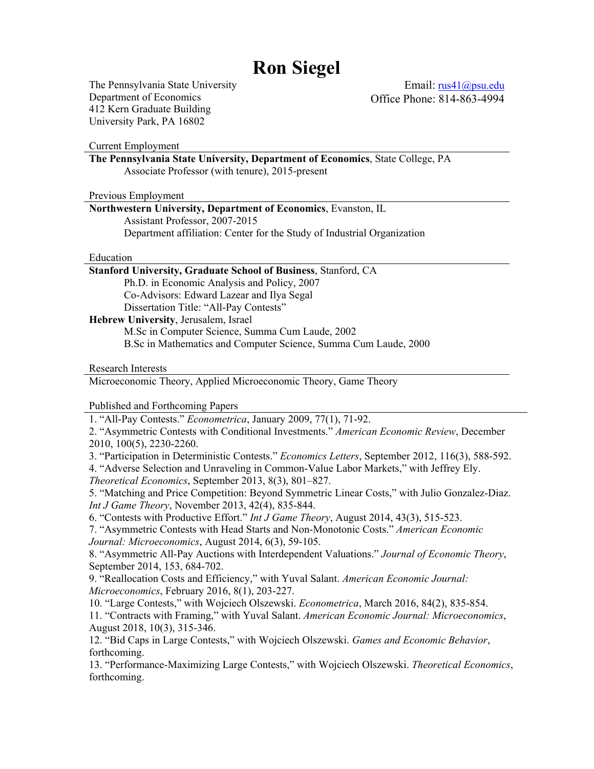# **Ron Siegel**

The Pennsylvania State University Department of Economics 412 Kern Graduate Building University Park, PA 16802

Email: rus41@psu.edu Office Phone: 814-863-4994

Current Employment **The Pennsylvania State University, Department of Economics**, State College, PA Associate Professor (with tenure), 2015-present Previous Employment **Northwestern University, Department of Economics**, Evanston, IL Assistant Professor, 2007-2015 Department affiliation: Center for the Study of Industrial Organization Education **Stanford University, Graduate School of Business**, Stanford, CA

Ph.D. in Economic Analysis and Policy, 2007 Co-Advisors: Edward Lazear and Ilya Segal Dissertation Title: "All-Pay Contests"

**Hebrew University**, Jerusalem, Israel M.Sc in Computer Science, Summa Cum Laude, 2002 B.Sc in Mathematics and Computer Science, Summa Cum Laude, 2000

Research Interests

Microeconomic Theory, Applied Microeconomic Theory, Game Theory

Published and Forthcoming Papers

1. "All-Pay Contests." *Econometrica*, January 2009, 77(1), 71-92.

2. "Asymmetric Contests with Conditional Investments." *American Economic Review*, December 2010, 100(5), 2230-2260.

3. "Participation in Deterministic Contests." *Economics Letters*, September 2012, 116(3), 588-592.

4. "Adverse Selection and Unraveling in Common-Value Labor Markets," with Jeffrey Ely. *Theoretical Economics*, September 2013, 8(3), 801–827.

5. "Matching and Price Competition: Beyond Symmetric Linear Costs," with Julio Gonzalez-Diaz. *Int J Game Theory*, November 2013, 42(4), 835-844.

6. "Contests with Productive Effort." *Int J Game Theory*, August 2014, 43(3), 515-523.

7. "Asymmetric Contests with Head Starts and Non-Monotonic Costs." *American Economic Journal: Microeconomics*, August 2014, 6(3), 59-105.

8. "Asymmetric All-Pay Auctions with Interdependent Valuations." *Journal of Economic Theory*, September 2014, 153, 684-702.

9. "Reallocation Costs and Efficiency," with Yuval Salant. *American Economic Journal: Microeconomics*, February 2016, 8(1), 203-227.

10. "Large Contests," with Wojciech Olszewski. *Econometrica*, March 2016, 84(2), 835-854. 11. "Contracts with Framing," with Yuval Salant. *American Economic Journal: Microeconomics*, August 2018, 10(3), 315-346.

12. "Bid Caps in Large Contests," with Wojciech Olszewski. *Games and Economic Behavior*, forthcoming.

13. "Performance-Maximizing Large Contests," with Wojciech Olszewski. *Theoretical Economics*, forthcoming.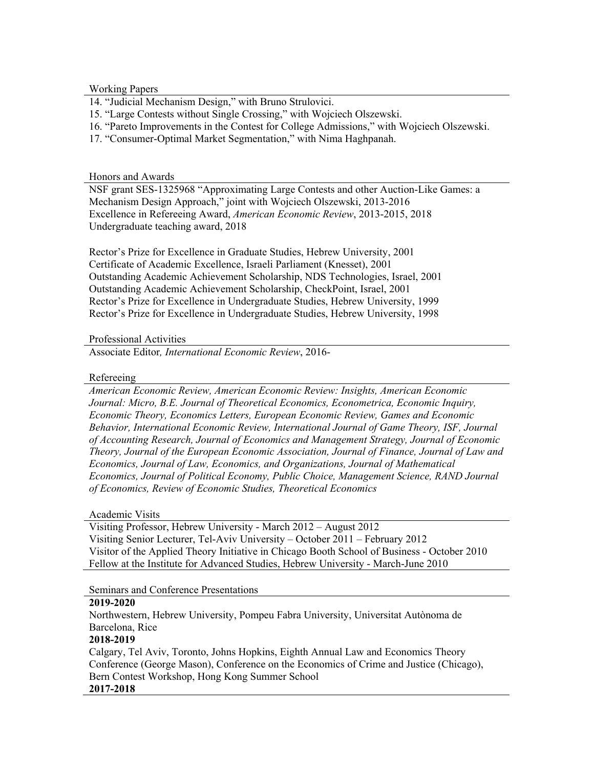Working Papers

- 14. "Judicial Mechanism Design," with Bruno Strulovici.
- 15. "Large Contests without Single Crossing," with Wojciech Olszewski.
- 16. "Pareto Improvements in the Contest for College Admissions," with Wojciech Olszewski.
- 17. "Consumer-Optimal Market Segmentation," with Nima Haghpanah.

#### Honors and Awards

NSF grant SES-1325968 "Approximating Large Contests and other Auction-Like Games: a Mechanism Design Approach," joint with Wojciech Olszewski, 2013-2016 Excellence in Refereeing Award, *American Economic Review*, 2013-2015, 2018 Undergraduate teaching award, 2018

Rector's Prize for Excellence in Graduate Studies, Hebrew University, 2001 Certificate of Academic Excellence, Israeli Parliament (Knesset), 2001 Outstanding Academic Achievement Scholarship, NDS Technologies, Israel, 2001 Outstanding Academic Achievement Scholarship, CheckPoint, Israel, 2001 Rector's Prize for Excellence in Undergraduate Studies, Hebrew University, 1999 Rector's Prize for Excellence in Undergraduate Studies, Hebrew University, 1998

## Professional Activities

Associate Editor*, International Economic Review*, 2016-

## Refereeing

*American Economic Review, American Economic Review: Insights, American Economic Journal: Micro, B.E. Journal of Theoretical Economics, Econometrica, Economic Inquiry, Economic Theory, Economics Letters, European Economic Review, Games and Economic Behavior, International Economic Review, International Journal of Game Theory, ISF, Journal of Accounting Research, Journal of Economics and Management Strategy, Journal of Economic Theory, Journal of the European Economic Association, Journal of Finance, Journal of Law and Economics, Journal of Law, Economics, and Organizations, Journal of Mathematical Economics, Journal of Political Economy, Public Choice, Management Science, RAND Journal of Economics, Review of Economic Studies, Theoretical Economics*

## Academic Visits

Visiting Professor, Hebrew University - March 2012 – August 2012 Visiting Senior Lecturer, Tel-Aviv University – October 2011 – February 2012 Visitor of the Applied Theory Initiative in Chicago Booth School of Business - October 2010 Fellow at the Institute for Advanced Studies, Hebrew University - March-June 2010

#### Seminars and Conference Presentations

#### **2019-2020**

Northwestern, Hebrew University, Pompeu Fabra University, Universitat Autònoma de Barcelona, Rice

## **2018-2019**

Calgary, Tel Aviv, Toronto, Johns Hopkins, Eighth Annual Law and Economics Theory Conference (George Mason), Conference on the Economics of Crime and Justice (Chicago), Bern Contest Workshop, Hong Kong Summer School **2017-2018**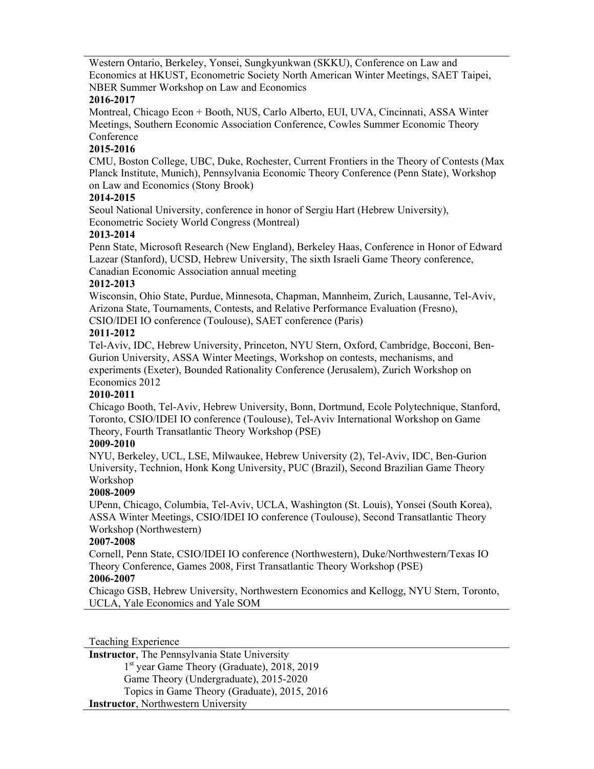Western Ontario, Berkeley, Yonsei, Sungkyunkwan (SKKU), Conference on Law and Economics at HKUST, Econometric Society North American Winter Meetings, SAET Taipei, NBER Summer Workshop on Law and Economics

# **2016-2017**

Montreal, Chicago Econ + Booth, NUS, Carlo Alberto, EUI, UVA, Cincinnati, ASSA Winter Meetings, Southern Economic Association Conference, Cowles Summer Economic Theory Conference

# **2015-2016**

CMU, Boston College, UBC, Duke, Rochester, Current Frontiers in the Theory of Contests (Max Planck Institute, Munich), Pennsylvania Economic Theory Conference (Penn State), Workshop on Law and Economics (Stony Brook)

## **2014-2015**

Seoul National University, conference in honor of Sergiu Hart (Hebrew University), Econometric Society World Congress (Montreal)

# **2013-2014**

Penn State, Microsoft Research (New England), Berkeley Haas, Conference in Honor of Edward Lazear (Stanford), UCSD, Hebrew University, The sixth Israeli Game Theory conference, Canadian Economic Association annual meeting

# **2012-2013**

Wisconsin, Ohio State, Purdue, Minnesota, Chapman, Mannheim, Zurich, Lausanne, Tel-Aviv, Arizona State, Tournaments, Contests, and Relative Performance Evaluation (Fresno), CSIO/IDEI IO conference (Toulouse), SAET conference (Paris)

# **2011-2012**

Tel-Aviv, IDC, Hebrew University, Princeton, NYU Stern, Oxford, Cambridge, Bocconi, Ben-Gurion University, ASSA Winter Meetings, Workshop on contests, mechanisms, and experiments (Exeter), Bounded Rationality Conference (Jerusalem), Zurich Workshop on Economics 2012

# **2010-2011**

Chicago Booth, Tel-Aviv, Hebrew University, Bonn, Dortmund, Ecole Polytechnique, Stanford, Toronto, CSIO/IDEI IO conference (Toulouse), Tel-Aviv International Workshop on Game Theory, Fourth Transatlantic Theory Workshop (PSE)

# **2009-2010**

NYU, Berkeley, UCL, LSE, Milwaukee, Hebrew University (2), Tel-Aviv, IDC, Ben-Gurion University, Technion, Honk Kong University, PUC (Brazil), Second Brazilian Game Theory Workshop

# **2008-2009**

UPenn, Chicago, Columbia, Tel-Aviv, UCLA, Washington (St. Louis), Yonsei (South Korea), ASSA Winter Meetings, CSIO/IDEI IO conference (Toulouse), Second Transatlantic Theory Workshop (Northwestern)

## **2007-2008**

Cornell, Penn State, CSIO/IDEI IO conference (Northwestern), Duke/Northwestern/Texas IO Theory Conference, Games 2008, First Transatlantic Theory Workshop (PSE) **2006-2007**

Chicago GSB, Hebrew University, Northwestern Economics and Kellogg, NYU Stern, Toronto, UCLA, Yale Economics and Yale SOM

Teaching Experience

**Instructor**, The Pennsylvania State University 1<sup>st</sup> year Game Theory (Graduate), 2018, 2019 Game Theory (Undergraduate), 2015-2020 Topics in Game Theory (Graduate), 2015, 2016 **Instructor**, Northwestern University